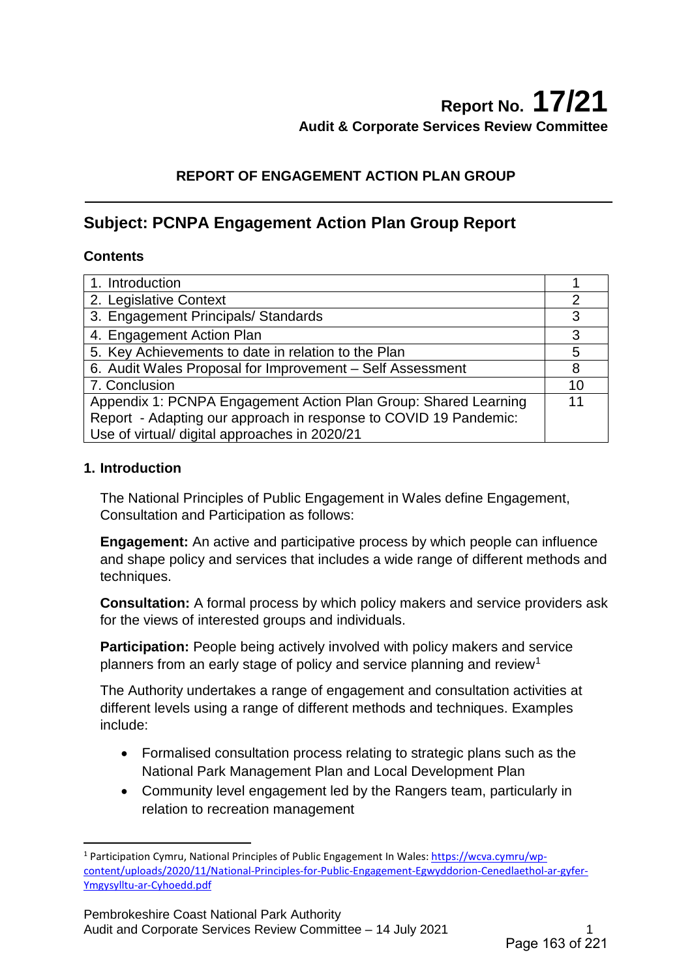## **REPORT OF ENGAGEMENT ACTION PLAN GROUP**

# **Subject: PCNPA Engagement Action Plan Group Report**

#### **Contents**

| 1. Introduction                                                  |                |
|------------------------------------------------------------------|----------------|
| 2. Legislative Context                                           | $\overline{2}$ |
| 3. Engagement Principals/ Standards                              | 3              |
| 4. Engagement Action Plan                                        | 3              |
| 5. Key Achievements to date in relation to the Plan              | 5              |
| 6. Audit Wales Proposal for Improvement - Self Assessment        | 8              |
| 7. Conclusion                                                    | 10             |
| Appendix 1: PCNPA Engagement Action Plan Group: Shared Learning  | 11             |
| Report - Adapting our approach in response to COVID 19 Pandemic: |                |
| Use of virtual/ digital approaches in 2020/21                    |                |

#### **1. Introduction**

 $\overline{a}$ 

The National Principles of Public Engagement in Wales define Engagement, Consultation and Participation as follows:

**Engagement:** An active and participative process by which people can influence and shape policy and services that includes a wide range of different methods and techniques.

**Consultation:** A formal process by which policy makers and service providers ask for the views of interested groups and individuals.

**Participation:** People being actively involved with policy makers and service planners from an early stage of policy and service planning and review<sup>[1](#page-0-0)</sup>

The Authority undertakes a range of engagement and consultation activities at different levels using a range of different methods and techniques. Examples include:

- Formalised consultation process relating to strategic plans such as the National Park Management Plan and Local Development Plan
- Community level engagement led by the Rangers team, particularly in relation to recreation management

<span id="page-0-0"></span><sup>1</sup> Participation Cymru, National Principles of Public Engagement In Wales[: https://wcva.cymru/wp](https://wcva.cymru/wp-content/uploads/2020/11/National-Principles-for-Public-Engagement-Egwyddorion-Cenedlaethol-ar-gyfer-Ymgysylltu-ar-Cyhoedd.pdf)[content/uploads/2020/11/National-Principles-for-Public-Engagement-Egwyddorion-Cenedlaethol-ar-gyfer-](https://wcva.cymru/wp-content/uploads/2020/11/National-Principles-for-Public-Engagement-Egwyddorion-Cenedlaethol-ar-gyfer-Ymgysylltu-ar-Cyhoedd.pdf)[Ymgysylltu-ar-Cyhoedd.pdf](https://wcva.cymru/wp-content/uploads/2020/11/National-Principles-for-Public-Engagement-Egwyddorion-Cenedlaethol-ar-gyfer-Ymgysylltu-ar-Cyhoedd.pdf)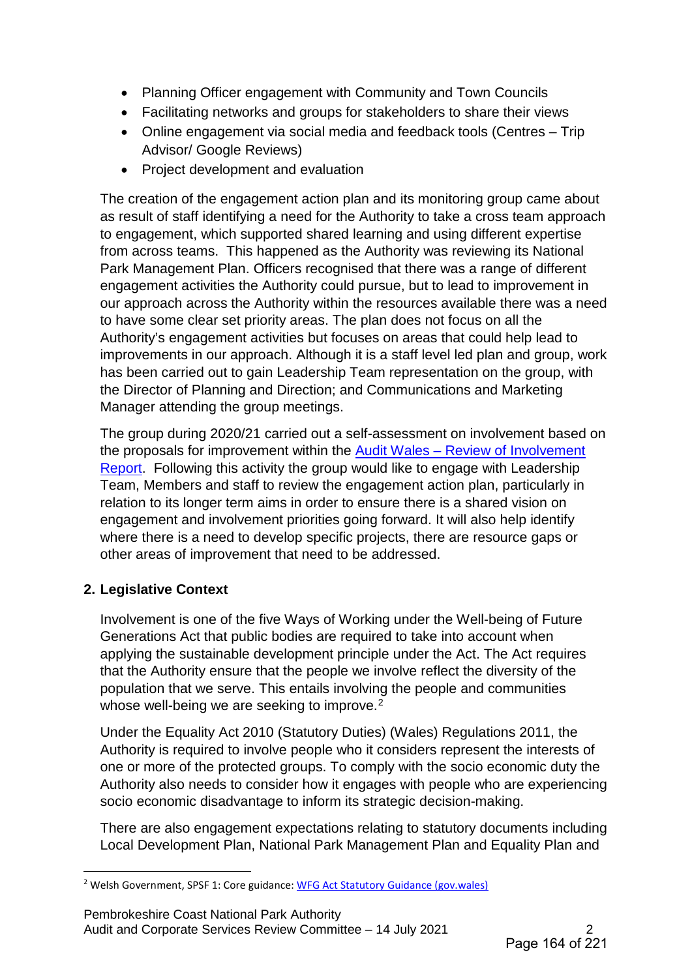- Planning Officer engagement with Community and Town Councils
- Facilitating networks and groups for stakeholders to share their views
- Online engagement via social media and feedback tools (Centres Trip Advisor/ Google Reviews)
- Project development and evaluation

The creation of the engagement action plan and its monitoring group came about as result of staff identifying a need for the Authority to take a cross team approach to engagement, which supported shared learning and using different expertise from across teams. This happened as the Authority was reviewing its National Park Management Plan. Officers recognised that there was a range of different engagement activities the Authority could pursue, but to lead to improvement in our approach across the Authority within the resources available there was a need to have some clear set priority areas. The plan does not focus on all the Authority's engagement activities but focuses on areas that could help lead to improvements in our approach. Although it is a staff level led plan and group, work has been carried out to gain Leadership Team representation on the group, with the Director of Planning and Direction; and Communications and Marketing Manager attending the group meetings.

The group during 2020/21 carried out a self-assessment on involvement based on the proposals for improvement within the [Audit Wales – Review of Involvement](https://www.pembrokeshirecoast.wales/wp-content/uploads/2020/05/07_20-Review-of-Involvement.pdf)  [Report.](https://www.pembrokeshirecoast.wales/wp-content/uploads/2020/05/07_20-Review-of-Involvement.pdf) Following this activity the group would like to engage with Leadership Team, Members and staff to review the engagement action plan, particularly in relation to its longer term aims in order to ensure there is a shared vision on engagement and involvement priorities going forward. It will also help identify where there is a need to develop specific projects, there are resource gaps or other areas of improvement that need to be addressed.

# **2. Legislative Context**

 $\overline{a}$ 

Involvement is one of the five Ways of Working under the Well-being of Future Generations Act that public bodies are required to take into account when applying the sustainable development principle under the Act. The Act requires that the Authority ensure that the people we involve reflect the diversity of the population that we serve. This entails involving the people and communities whose well-being we are seeking to improve.<sup>[2](#page-1-0)</sup>

Under the Equality Act 2010 (Statutory Duties) (Wales) Regulations 2011, the Authority is required to involve people who it considers represent the interests of one or more of the protected groups. To comply with the socio economic duty the Authority also needs to consider how it engages with people who are experiencing socio economic disadvantage to inform its strategic decision-making.

There are also engagement expectations relating to statutory documents including Local Development Plan, National Park Management Plan and Equality Plan and

<span id="page-1-0"></span><sup>&</sup>lt;sup>2</sup> Welsh Government, SPSF 1: Core guidance[: WFG Act Statutory Guidance \(gov.wales\)](https://gov.wales/sites/default/files/publications/2019-02/spsf-1-core-guidance.PDF)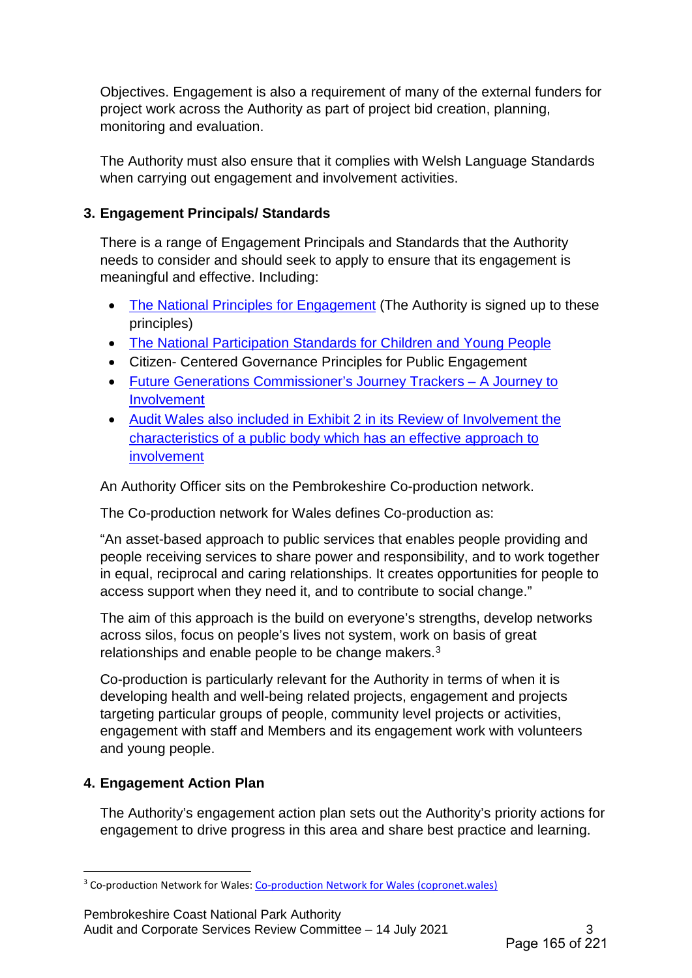Objectives. Engagement is also a requirement of many of the external funders for project work across the Authority as part of project bid creation, planning, monitoring and evaluation.

The Authority must also ensure that it complies with Welsh Language Standards when carrying out engagement and involvement activities.

### **3. Engagement Principals/ Standards**

There is a range of Engagement Principals and Standards that the Authority needs to consider and should seek to apply to ensure that its engagement is meaningful and effective. Including:

- [The National Principles for Engagement](https://wcva.cymru/influencing/engagement/) (The Authority is signed up to these principles)
- [The National Participation Standards for Children and Young People](https://gov.wales/sites/default/files/publications/2018-02/Bilingual-Participation-Standards-poster2016.pdf)
- Citizen- Centered Governance Principles for Public Engagement
- [Future Generations Commissioner's Journey Trackers A Journey to](https://www.futuregenerations.wales/journey-checker-involvement/)  [Involvement](https://www.futuregenerations.wales/journey-checker-involvement/)
- [Audit Wales also included in Exhibit 2 in its Review of Involvement the](https://www.pembrokeshirecoast.wales/wp-content/uploads/2020/05/07_20-Review-of-Involvement.pdf)  [characteristics of a public body which has an effective approach to](https://www.pembrokeshirecoast.wales/wp-content/uploads/2020/05/07_20-Review-of-Involvement.pdf)  [involvement](https://www.pembrokeshirecoast.wales/wp-content/uploads/2020/05/07_20-Review-of-Involvement.pdf)

An Authority Officer sits on the Pembrokeshire Co-production network.

The Co-production network for Wales defines Co-production as:

"An asset-based approach to public services that enables people providing and people receiving services to share power and responsibility, and to work together in equal, reciprocal and caring relationships. It creates opportunities for people to access support when they need it, and to contribute to social change."

The aim of this approach is the build on everyone's strengths, develop networks across silos, focus on people's lives not system, work on basis of great relationships and enable people to be change makers. $3$ 

Co-production is particularly relevant for the Authority in terms of when it is developing health and well-being related projects, engagement and projects targeting particular groups of people, community level projects or activities, engagement with staff and Members and its engagement work with volunteers and young people.

# **4. Engagement Action Plan**

 $\overline{a}$ 

The Authority's engagement action plan sets out the Authority's priority actions for engagement to drive progress in this area and share best practice and learning.

Pembrokeshire Coast National Park Authority Audit and Corporate Services Review Committee – 14 July 2021 3

<span id="page-2-0"></span><sup>&</sup>lt;sup>3</sup> Co-production Network for Wales: [Co-production Network for Wales \(copronet.wales\)](https://copronet.wales/)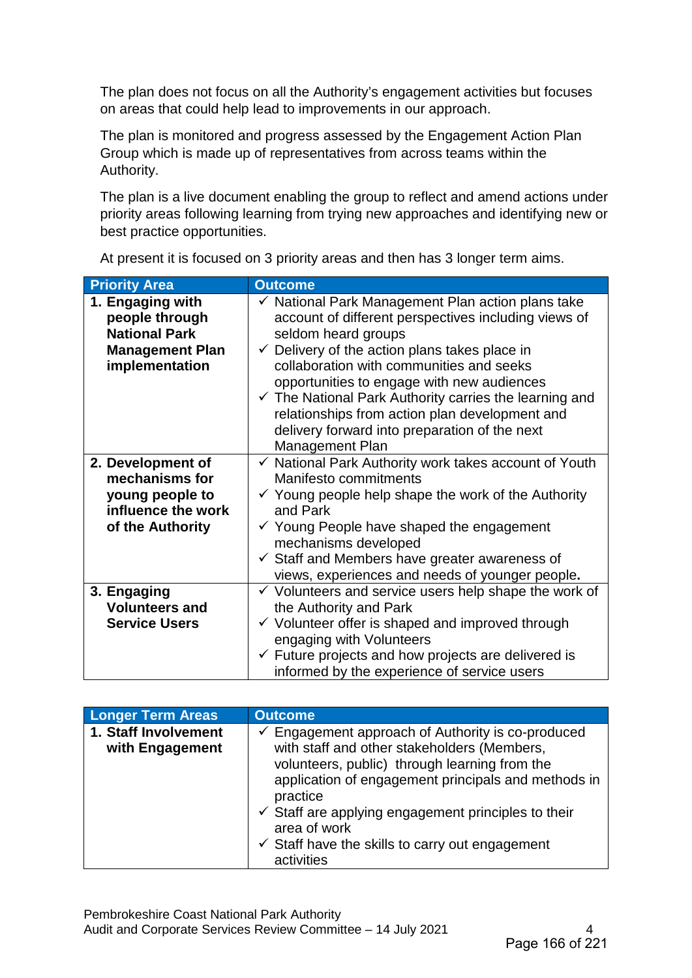The plan does not focus on all the Authority's engagement activities but focuses on areas that could help lead to improvements in our approach.

The plan is monitored and progress assessed by the Engagement Action Plan Group which is made up of representatives from across teams within the Authority.

The plan is a live document enabling the group to reflect and amend actions under priority areas following learning from trying new approaches and identifying new or best practice opportunities.

| <b>Priority Area</b>                                                                                   | <b>Outcome</b>                                                                                                                                                                                                                                                                                                                                                                                                                                                                               |
|--------------------------------------------------------------------------------------------------------|----------------------------------------------------------------------------------------------------------------------------------------------------------------------------------------------------------------------------------------------------------------------------------------------------------------------------------------------------------------------------------------------------------------------------------------------------------------------------------------------|
| 1. Engaging with<br>people through<br><b>National Park</b><br><b>Management Plan</b><br>implementation | $\checkmark$ National Park Management Plan action plans take<br>account of different perspectives including views of<br>seldom heard groups<br>$\checkmark$ Delivery of the action plans takes place in<br>collaboration with communities and seeks<br>opportunities to engage with new audiences<br>$\checkmark$ The National Park Authority carries the learning and<br>relationships from action plan development and<br>delivery forward into preparation of the next<br>Management Plan |
| 2. Development of<br>mechanisms for<br>young people to<br>influence the work<br>of the Authority       | $\checkmark$ National Park Authority work takes account of Youth<br>Manifesto commitments<br>$\checkmark$ Young people help shape the work of the Authority<br>and Park<br>$\checkmark$ Young People have shaped the engagement<br>mechanisms developed<br>$\checkmark$ Staff and Members have greater awareness of<br>views, experiences and needs of younger people.                                                                                                                       |
| 3. Engaging<br><b>Volunteers and</b><br><b>Service Users</b>                                           | $\checkmark$ Volunteers and service users help shape the work of<br>the Authority and Park<br>$\checkmark$ Volunteer offer is shaped and improved through<br>engaging with Volunteers<br>$\checkmark$ Future projects and how projects are delivered is<br>informed by the experience of service users                                                                                                                                                                                       |

At present it is focused on 3 priority areas and then has 3 longer term aims.

| <b>Longer Term Areas</b>                | <b>Outcome</b>                                                                                                                                                                                                                                                                                                                                                                                |
|-----------------------------------------|-----------------------------------------------------------------------------------------------------------------------------------------------------------------------------------------------------------------------------------------------------------------------------------------------------------------------------------------------------------------------------------------------|
| 1. Staff Involvement<br>with Engagement | $\checkmark$ Engagement approach of Authority is co-produced<br>with staff and other stakeholders (Members,<br>volunteers, public) through learning from the<br>application of engagement principals and methods in<br>practice<br>$\checkmark$ Staff are applying engagement principles to their<br>area of work<br>$\checkmark$ Staff have the skills to carry out engagement<br>activities |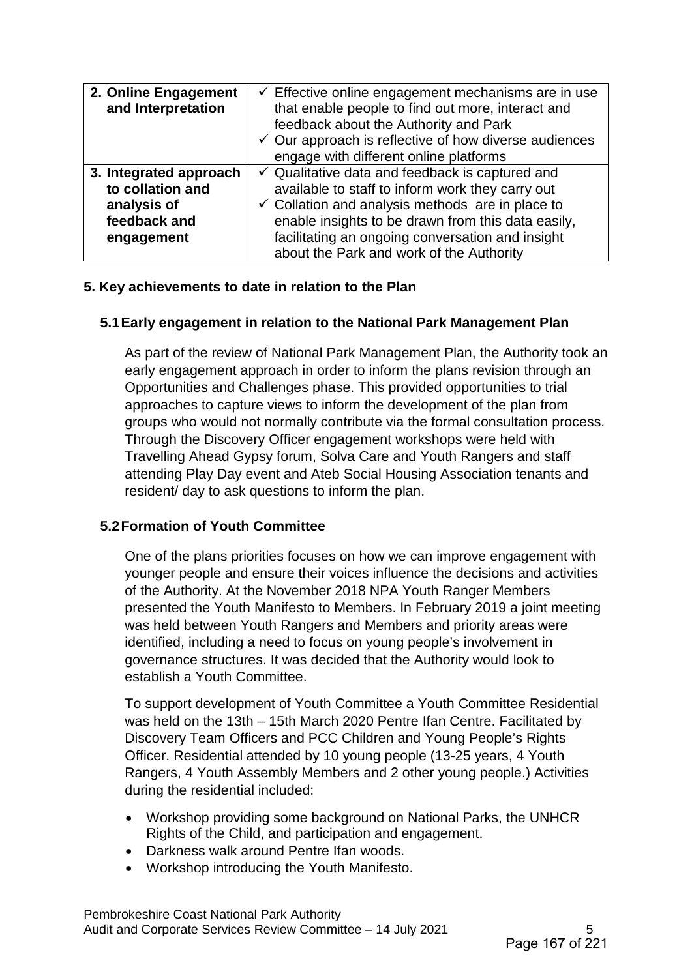| 2. Online Engagement<br>and Interpretation                                              | $\checkmark$ Effective online engagement mechanisms are in use<br>that enable people to find out more, interact and<br>feedback about the Authority and Park<br>$\checkmark$ Our approach is reflective of how diverse audiences<br>engage with different online platforms                                                          |
|-----------------------------------------------------------------------------------------|-------------------------------------------------------------------------------------------------------------------------------------------------------------------------------------------------------------------------------------------------------------------------------------------------------------------------------------|
| 3. Integrated approach<br>to collation and<br>analysis of<br>feedback and<br>engagement | $\checkmark$ Qualitative data and feedback is captured and<br>available to staff to inform work they carry out<br>$\checkmark$ Collation and analysis methods are in place to<br>enable insights to be drawn from this data easily,<br>facilitating an ongoing conversation and insight<br>about the Park and work of the Authority |

#### **5. Key achievements to date in relation to the Plan**

#### **5.1Early engagement in relation to the National Park Management Plan**

As part of the review of National Park Management Plan, the Authority took an early engagement approach in order to inform the plans revision through an Opportunities and Challenges phase. This provided opportunities to trial approaches to capture views to inform the development of the plan from groups who would not normally contribute via the formal consultation process. Through the Discovery Officer engagement workshops were held with Travelling Ahead Gypsy forum, Solva Care and Youth Rangers and staff attending Play Day event and Ateb Social Housing Association tenants and resident/ day to ask questions to inform the plan.

#### **5.2Formation of Youth Committee**

One of the plans priorities focuses on how we can improve engagement with younger people and ensure their voices influence the decisions and activities of the Authority. At the November 2018 NPA Youth Ranger Members presented the Youth Manifesto to Members. In February 2019 a joint meeting was held between Youth Rangers and Members and priority areas were identified, including a need to focus on young people's involvement in governance structures. It was decided that the Authority would look to establish a Youth Committee.

To support development of Youth Committee a Youth Committee Residential was held on the 13th – 15th March 2020 Pentre Ifan Centre. Facilitated by Discovery Team Officers and PCC Children and Young People's Rights Officer. Residential attended by 10 young people (13-25 years, 4 Youth Rangers, 4 Youth Assembly Members and 2 other young people.) Activities during the residential included:

- Workshop providing some background on National Parks, the UNHCR Rights of the Child, and participation and engagement.
- Darkness walk around Pentre Ifan woods.
- Workshop introducing the Youth Manifesto.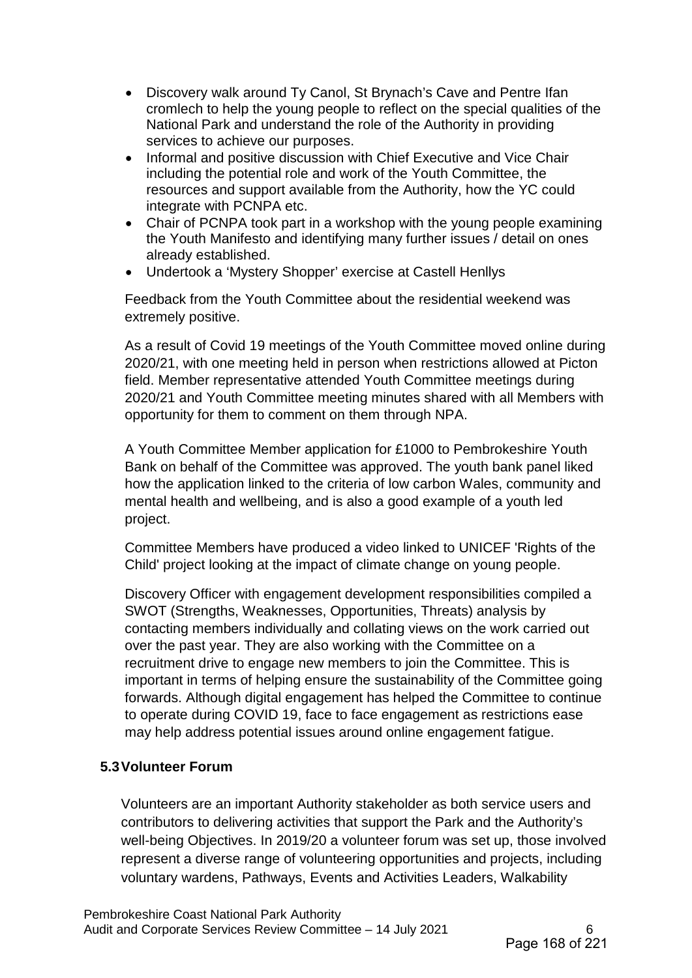- Discovery walk around Ty Canol, St Brynach's Cave and Pentre Ifan cromlech to help the young people to reflect on the special qualities of the National Park and understand the role of the Authority in providing services to achieve our purposes.
- Informal and positive discussion with Chief Executive and Vice Chair including the potential role and work of the Youth Committee, the resources and support available from the Authority, how the YC could integrate with PCNPA etc.
- Chair of PCNPA took part in a workshop with the young people examining the Youth Manifesto and identifying many further issues / detail on ones already established.
- Undertook a 'Mystery Shopper' exercise at Castell Henllys

Feedback from the Youth Committee about the residential weekend was extremely positive.

As a result of Covid 19 meetings of the Youth Committee moved online during 2020/21, with one meeting held in person when restrictions allowed at Picton field. Member representative attended Youth Committee meetings during 2020/21 and Youth Committee meeting minutes shared with all Members with opportunity for them to comment on them through NPA.

A Youth Committee Member application for £1000 to Pembrokeshire Youth Bank on behalf of the Committee was approved. The youth bank panel liked how the application linked to the criteria of low carbon Wales, community and mental health and wellbeing, and is also a good example of a youth led project.

Committee Members have produced a video linked to UNICEF 'Rights of the Child' project looking at the impact of climate change on young people.

Discovery Officer with engagement development responsibilities compiled a SWOT (Strengths, Weaknesses, Opportunities, Threats) analysis by contacting members individually and collating views on the work carried out over the past year. They are also working with the Committee on a recruitment drive to engage new members to join the Committee. This is important in terms of helping ensure the sustainability of the Committee going forwards. Although digital engagement has helped the Committee to continue to operate during COVID 19, face to face engagement as restrictions ease may help address potential issues around online engagement fatigue.

#### **5.3Volunteer Forum**

Volunteers are an important Authority stakeholder as both service users and contributors to delivering activities that support the Park and the Authority's well-being Objectives. In 2019/20 a volunteer forum was set up, those involved represent a diverse range of volunteering opportunities and projects, including voluntary wardens, Pathways, Events and Activities Leaders, Walkability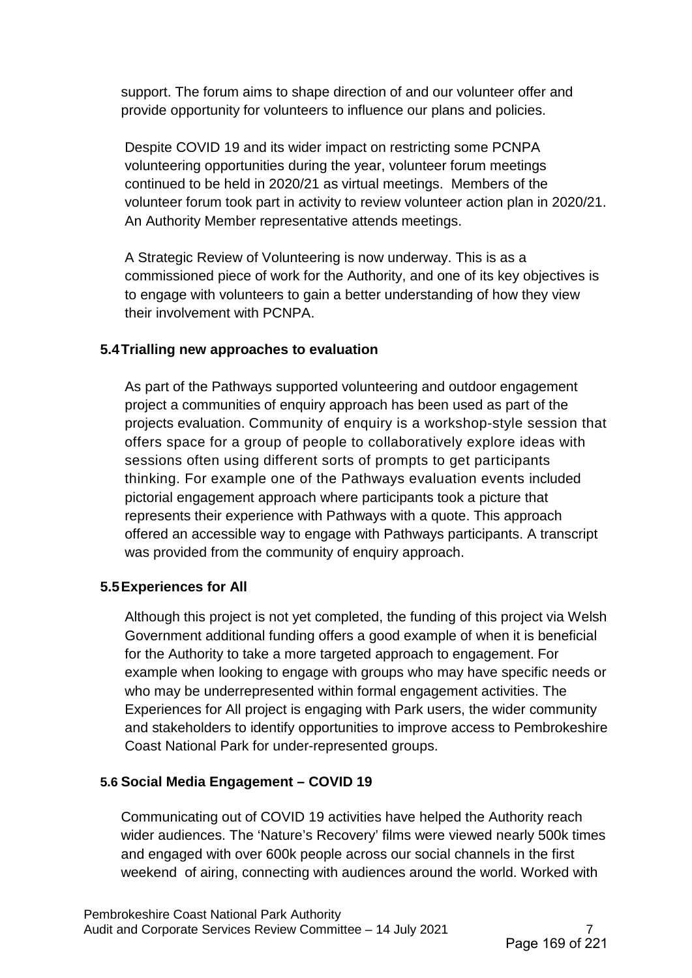support. The forum aims to shape direction of and our volunteer offer and provide opportunity for volunteers to influence our plans and policies.

Despite COVID 19 and its wider impact on restricting some PCNPA volunteering opportunities during the year, volunteer forum meetings continued to be held in 2020/21 as virtual meetings. Members of the volunteer forum took part in activity to review volunteer action plan in 2020/21. An Authority Member representative attends meetings.

A Strategic Review of Volunteering is now underway. This is as a commissioned piece of work for the Authority, and one of its key objectives is to engage with volunteers to gain a better understanding of how they view their involvement with PCNPA.

### **5.4Trialling new approaches to evaluation**

As part of the Pathways supported volunteering and outdoor engagement project a communities of enquiry approach has been used as part of the projects evaluation. Community of enquiry is a workshop-style session that offers space for a group of people to collaboratively explore ideas with sessions often using different sorts of prompts to get participants thinking. For example one of the Pathways evaluation events included pictorial engagement approach where participants took a picture that represents their experience with Pathways with a quote. This approach offered an accessible way to engage with Pathways participants. A transcript was provided from the community of enquiry approach.

#### **5.5Experiences for All**

Although this project is not yet completed, the funding of this project via Welsh Government additional funding offers a good example of when it is beneficial for the Authority to take a more targeted approach to engagement. For example when looking to engage with groups who may have specific needs or who may be underrepresented within formal engagement activities. The Experiences for All project is engaging with Park users, the wider community and stakeholders to identify opportunities to improve access to Pembrokeshire Coast National Park for under-represented groups.

## **5.6 Social Media Engagement – COVID 19**

Communicating out of COVID 19 activities have helped the Authority reach wider audiences. The 'Nature's Recovery' films were viewed nearly 500k times and engaged with over 600k people across our social channels in the first weekend of airing, connecting with audiences around the world. Worked with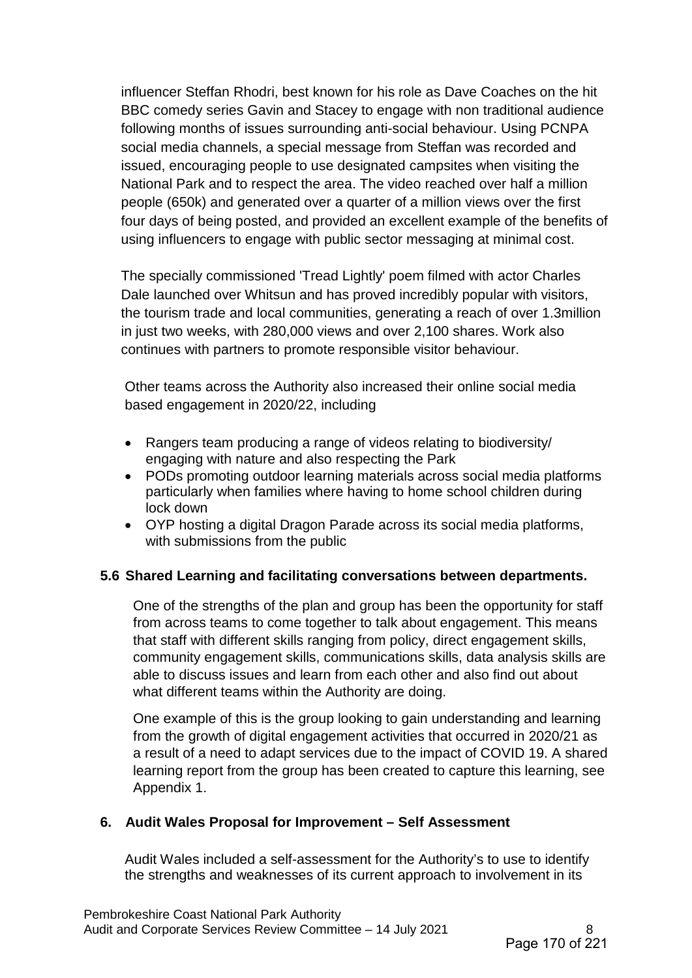influencer Steffan Rhodri, best known for his role as Dave Coaches on the hit BBC comedy series Gavin and Stacey to engage with non traditional audience following months of issues surrounding anti-social behaviour. Using PCNPA social media channels, a special message from Steffan was recorded and issued, encouraging people to use designated campsites when visiting the National Park and to respect the area. The video reached over half a million people (650k) and generated over a quarter of a million views over the first four days of being posted, and provided an excellent example of the benefits of using influencers to engage with public sector messaging at minimal cost.

The specially commissioned 'Tread Lightly' poem filmed with actor Charles Dale launched over Whitsun and has proved incredibly popular with visitors, the tourism trade and local communities, generating a reach of over 1.3million in just two weeks, with 280,000 views and over 2,100 shares. Work also continues with partners to promote responsible visitor behaviour.

Other teams across the Authority also increased their online social media based engagement in 2020/22, including

- Rangers team producing a range of videos relating to biodiversity/ engaging with nature and also respecting the Park
- PODs promoting outdoor learning materials across social media platforms particularly when families where having to home school children during lock down
- OYP hosting a digital Dragon Parade across its social media platforms, with submissions from the public

#### **5.6 Shared Learning and facilitating conversations between departments.**

One of the strengths of the plan and group has been the opportunity for staff from across teams to come together to talk about engagement. This means that staff with different skills ranging from policy, direct engagement skills, community engagement skills, communications skills, data analysis skills are able to discuss issues and learn from each other and also find out about what different teams within the Authority are doing.

One example of this is the group looking to gain understanding and learning from the growth of digital engagement activities that occurred in 2020/21 as a result of a need to adapt services due to the impact of COVID 19. A shared learning report from the group has been created to capture this learning, see Appendix 1.

#### **6. Audit Wales Proposal for Improvement – Self Assessment**

Audit Wales included a self-assessment for the Authority's to use to identify the strengths and weaknesses of its current approach to involvement in its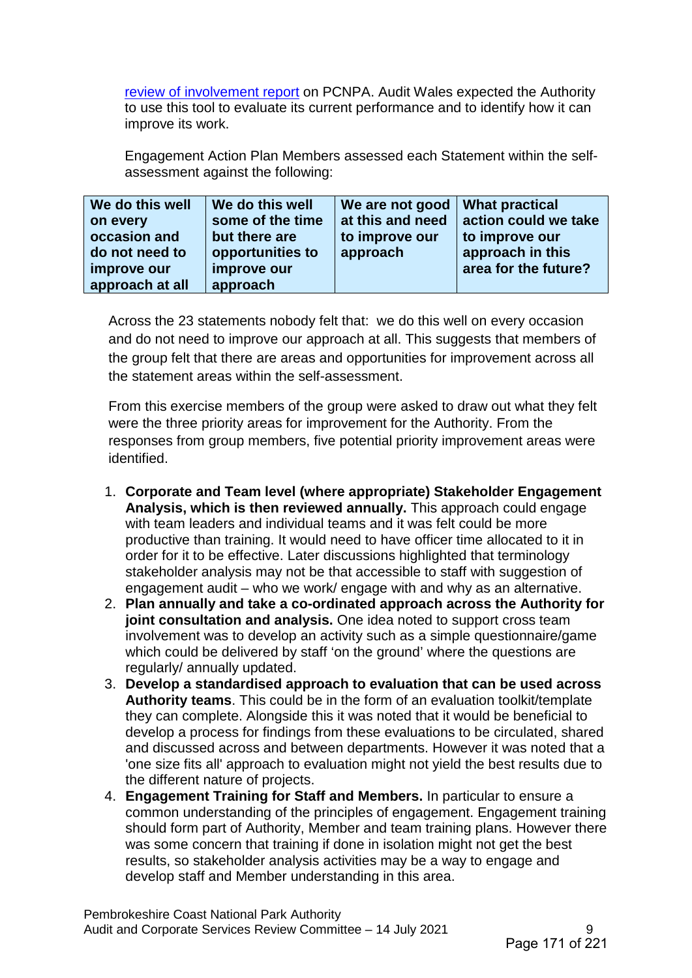[review of involvement report](https://www.pembrokeshirecoast.wales/wp-content/uploads/2020/05/07_20-Review-of-Involvement.pdf) on PCNPA. Audit Wales expected the Authority to use this tool to evaluate its current performance and to identify how it can improve its work.

Engagement Action Plan Members assessed each Statement within the selfassessment against the following:

| We do this well | We do this well  | We are not good   What practical |                      |
|-----------------|------------------|----------------------------------|----------------------|
| on every        | some of the time | at this and need                 | action could we take |
| occasion and    | but there are    | to improve our                   | to improve our       |
| do not need to  | opportunities to | approach                         | approach in this     |
| improve our     | improve our      |                                  | area for the future? |
| approach at all | approach         |                                  |                      |

Across the 23 statements nobody felt that: we do this well on every occasion and do not need to improve our approach at all. This suggests that members of the group felt that there are areas and opportunities for improvement across all the statement areas within the self-assessment.

From this exercise members of the group were asked to draw out what they felt were the three priority areas for improvement for the Authority. From the responses from group members, five potential priority improvement areas were identified.

- 1. **Corporate and Team level (where appropriate) Stakeholder Engagement Analysis, which is then reviewed annually.** This approach could engage with team leaders and individual teams and it was felt could be more productive than training. It would need to have officer time allocated to it in order for it to be effective. Later discussions highlighted that terminology stakeholder analysis may not be that accessible to staff with suggestion of engagement audit – who we work/ engage with and why as an alternative.
- 2. **Plan annually and take a co-ordinated approach across the Authority for joint consultation and analysis.** One idea noted to support cross team involvement was to develop an activity such as a simple questionnaire/game which could be delivered by staff 'on the ground' where the questions are regularly/ annually updated.
- 3. **Develop a standardised approach to evaluation that can be used across Authority teams**. This could be in the form of an evaluation toolkit/template they can complete. Alongside this it was noted that it would be beneficial to develop a process for findings from these evaluations to be circulated, shared and discussed across and between departments. However it was noted that a 'one size fits all' approach to evaluation might not yield the best results due to the different nature of projects.
- 4. **Engagement Training for Staff and Members.** In particular to ensure a common understanding of the principles of engagement. Engagement training should form part of Authority, Member and team training plans. However there was some concern that training if done in isolation might not get the best results, so stakeholder analysis activities may be a way to engage and develop staff and Member understanding in this area.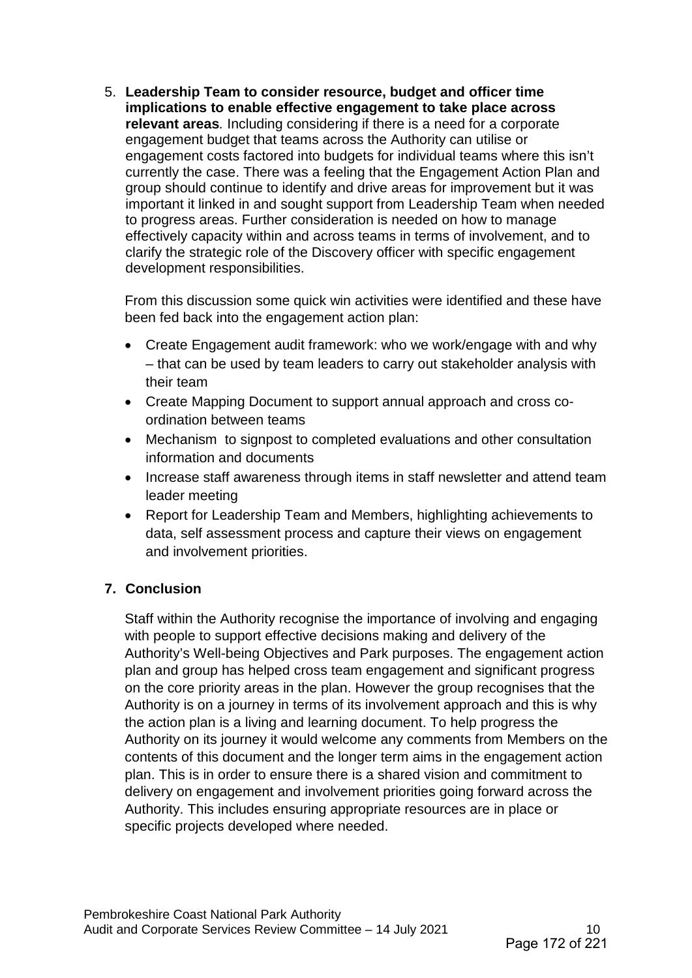5. **Leadership Team to consider resource, budget and officer time implications to enable effective engagement to take place across relevant areas***.* Including considering if there is a need for a corporate engagement budget that teams across the Authority can utilise or engagement costs factored into budgets for individual teams where this isn't currently the case. There was a feeling that the Engagement Action Plan and group should continue to identify and drive areas for improvement but it was important it linked in and sought support from Leadership Team when needed to progress areas. Further consideration is needed on how to manage effectively capacity within and across teams in terms of involvement, and to clarify the strategic role of the Discovery officer with specific engagement development responsibilities.

From this discussion some quick win activities were identified and these have been fed back into the engagement action plan:

- Create Engagement audit framework: who we work/engage with and why – that can be used by team leaders to carry out stakeholder analysis with their team
- Create Mapping Document to support annual approach and cross coordination between teams
- Mechanism to signpost to completed evaluations and other consultation information and documents
- Increase staff awareness through items in staff newsletter and attend team leader meeting
- Report for Leadership Team and Members, highlighting achievements to data, self assessment process and capture their views on engagement and involvement priorities.

## **7. Conclusion**

Staff within the Authority recognise the importance of involving and engaging with people to support effective decisions making and delivery of the Authority's Well-being Objectives and Park purposes. The engagement action plan and group has helped cross team engagement and significant progress on the core priority areas in the plan. However the group recognises that the Authority is on a journey in terms of its involvement approach and this is why the action plan is a living and learning document. To help progress the Authority on its journey it would welcome any comments from Members on the contents of this document and the longer term aims in the engagement action plan. This is in order to ensure there is a shared vision and commitment to delivery on engagement and involvement priorities going forward across the Authority. This includes ensuring appropriate resources are in place or specific projects developed where needed.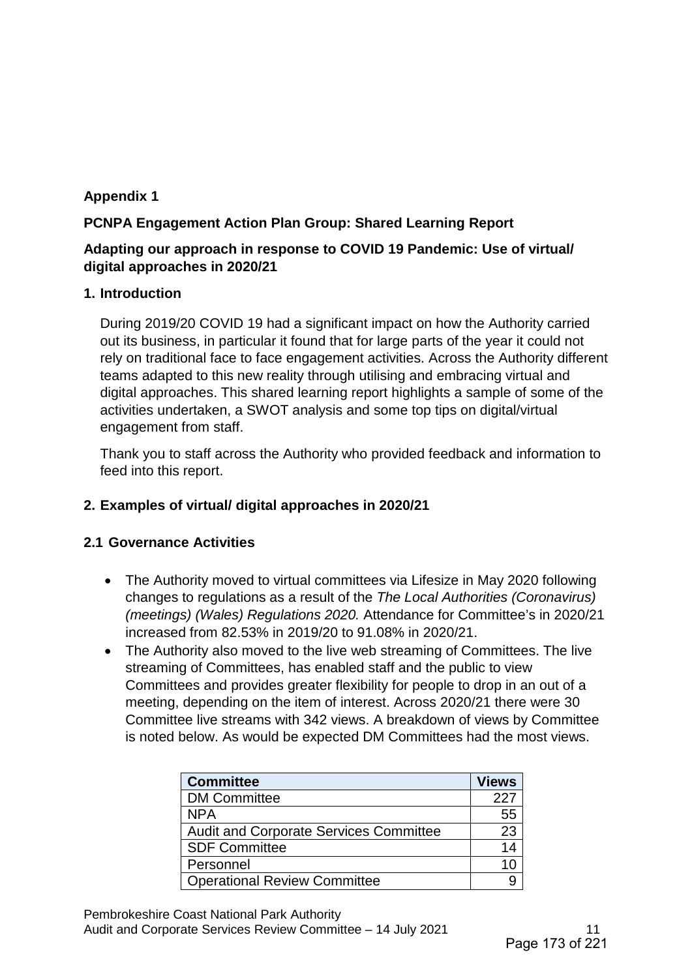## **Appendix 1**

## **PCNPA Engagement Action Plan Group: Shared Learning Report**

### **Adapting our approach in response to COVID 19 Pandemic: Use of virtual/ digital approaches in 2020/21**

#### **1. Introduction**

During 2019/20 COVID 19 had a significant impact on how the Authority carried out its business, in particular it found that for large parts of the year it could not rely on traditional face to face engagement activities. Across the Authority different teams adapted to this new reality through utilising and embracing virtual and digital approaches. This shared learning report highlights a sample of some of the activities undertaken, a SWOT analysis and some top tips on digital/virtual engagement from staff.

Thank you to staff across the Authority who provided feedback and information to feed into this report.

## **2. Examples of virtual/ digital approaches in 2020/21**

#### **2.1 Governance Activities**

- The Authority moved to virtual committees via Lifesize in May 2020 following changes to regulations as a result of the *The Local Authorities (Coronavirus) (meetings) (Wales) Regulations 2020.* Attendance for Committee's in 2020/21 increased from 82.53% in 2019/20 to 91.08% in 2020/21.
- The Authority also moved to the live web streaming of Committees. The live streaming of Committees, has enabled staff and the public to view Committees and provides greater flexibility for people to drop in an out of a meeting, depending on the item of interest. Across 2020/21 there were 30 Committee live streams with 342 views. A breakdown of views by Committee is noted below. As would be expected DM Committees had the most views.

| <b>Committee</b>                       | <b>Views</b> |
|----------------------------------------|--------------|
| <b>DM Committee</b>                    | 227          |
| <b>NPA</b>                             | 55           |
| Audit and Corporate Services Committee | 23           |
| <b>SDF Committee</b>                   |              |
| Personnel                              |              |
| <b>Operational Review Committee</b>    |              |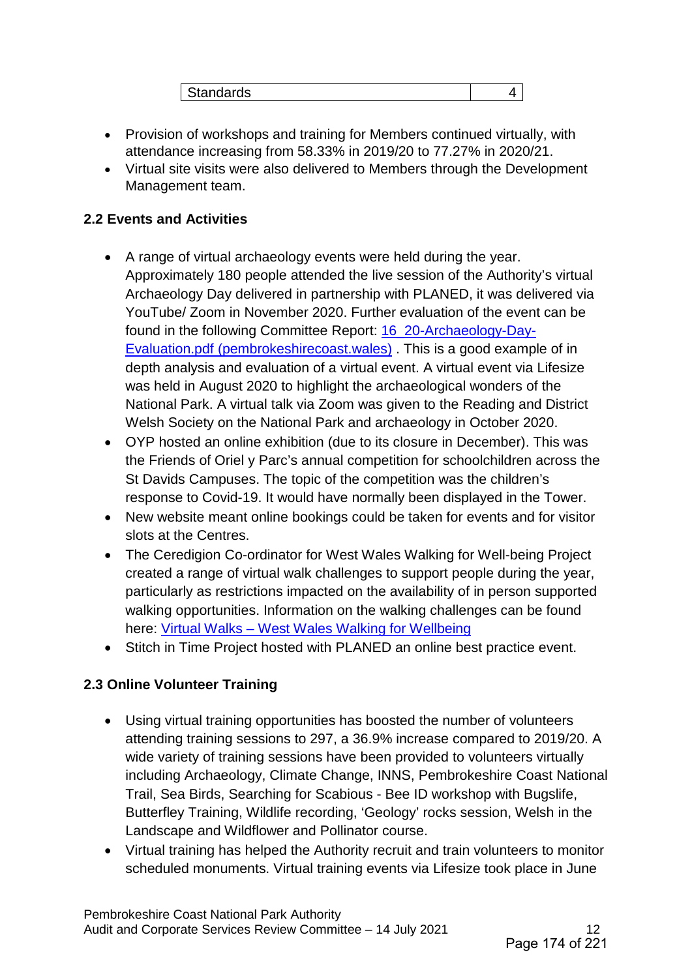| .<br>ilahudiyo |
|----------------|
|----------------|

- Provision of workshops and training for Members continued virtually, with attendance increasing from 58.33% in 2019/20 to 77.27% in 2020/21.
- Virtual site visits were also delivered to Members through the Development Management team.

### **2.2 Events and Activities**

- A range of virtual archaeology events were held during the year. Approximately 180 people attended the live session of the Authority's virtual Archaeology Day delivered in partnership with PLANED, it was delivered via YouTube/ Zoom in November 2020. Further evaluation of the event can be found in the following Committee Report: [16\\_20-Archaeology-Day-](https://www.pembrokeshirecoast.wales/wp-content/uploads/2020/12/16_20-Archaeology-Day-Evaluation.pdf)[Evaluation.pdf \(pembrokeshirecoast.wales\)](https://www.pembrokeshirecoast.wales/wp-content/uploads/2020/12/16_20-Archaeology-Day-Evaluation.pdf) . This is a good example of in depth analysis and evaluation of a virtual event. A virtual event via Lifesize was held in August 2020 to highlight the archaeological wonders of the National Park. A virtual talk via Zoom was given to the Reading and District Welsh Society on the National Park and archaeology in October 2020.
- OYP hosted an online exhibition (due to its closure in December). This was the Friends of Oriel y Parc's annual competition for schoolchildren across the St Davids Campuses. The topic of the competition was the children's response to Covid-19. It would have normally been displayed in the Tower.
- New website meant online bookings could be taken for events and for visitor slots at the Centres.
- The Ceredigion Co-ordinator for West Wales Walking for Well-being Project created a range of virtual walk challenges to support people during the year, particularly as restrictions impacted on the availability of in person supported walking opportunities. Information on the walking challenges can be found here: [Virtual Walks – West Wales Walking for Wellbeing](https://westwaleswalkingforwellbeing.org.uk/walking/virtual-walks/)
- Stitch in Time Project hosted with PLANED an online best practice event.

#### **2.3 Online Volunteer Training**

- Using virtual training opportunities has boosted the number of volunteers attending training sessions to 297, a 36.9% increase compared to 2019/20. A wide variety of training sessions have been provided to volunteers virtually including Archaeology, Climate Change, INNS, Pembrokeshire Coast National Trail, Sea Birds, Searching for Scabious - Bee ID workshop with Bugslife, Butterfley Training, Wildlife recording, 'Geology' rocks session, Welsh in the Landscape and Wildflower and Pollinator course.
- Virtual training has helped the Authority recruit and train volunteers to monitor scheduled monuments. Virtual training events via Lifesize took place in June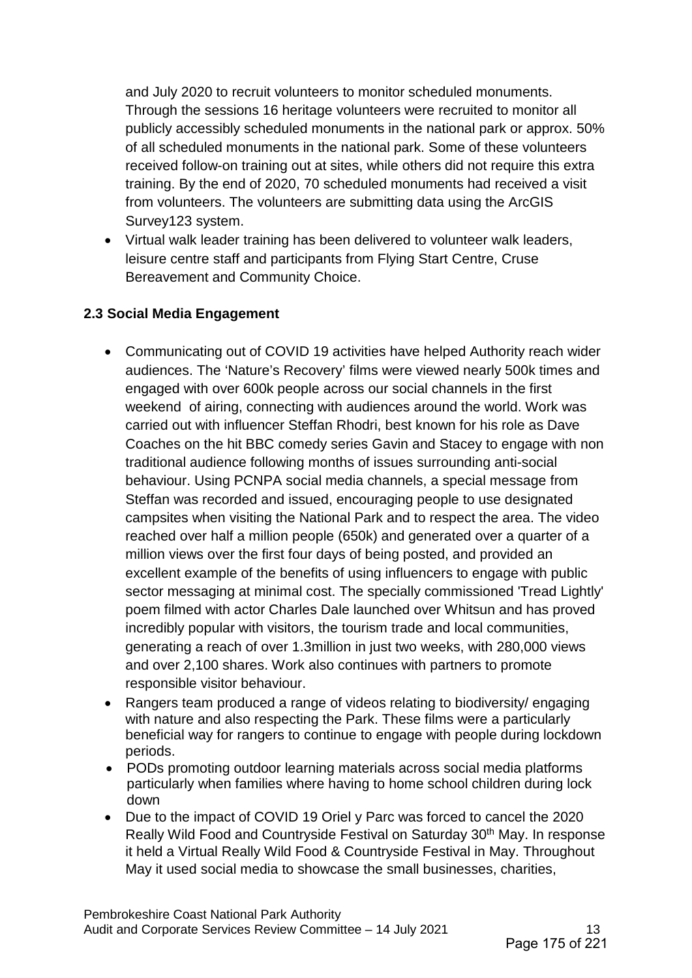and July 2020 to recruit volunteers to monitor scheduled monuments. Through the sessions 16 heritage volunteers were recruited to monitor all publicly accessibly scheduled monuments in the national park or approx. 50% of all scheduled monuments in the national park. Some of these volunteers received follow-on training out at sites, while others did not require this extra training. By the end of 2020, 70 scheduled monuments had received a visit from volunteers. The volunteers are submitting data using the ArcGIS Survey123 system.

• Virtual walk leader training has been delivered to volunteer walk leaders, leisure centre staff and participants from Flying Start Centre, Cruse Bereavement and Community Choice.

#### **2.3 Social Media Engagement**

- Communicating out of COVID 19 activities have helped Authority reach wider audiences. The 'Nature's Recovery' films were viewed nearly 500k times and engaged with over 600k people across our social channels in the first weekend of airing, connecting with audiences around the world. Work was carried out with influencer Steffan Rhodri, best known for his role as Dave Coaches on the hit BBC comedy series Gavin and Stacey to engage with non traditional audience following months of issues surrounding anti-social behaviour. Using PCNPA social media channels, a special message from Steffan was recorded and issued, encouraging people to use designated campsites when visiting the National Park and to respect the area. The video reached over half a million people (650k) and generated over a quarter of a million views over the first four days of being posted, and provided an excellent example of the benefits of using influencers to engage with public sector messaging at minimal cost. The specially commissioned 'Tread Lightly' poem filmed with actor Charles Dale launched over Whitsun and has proved incredibly popular with visitors, the tourism trade and local communities, generating a reach of over 1.3million in just two weeks, with 280,000 views and over 2,100 shares. Work also continues with partners to promote responsible visitor behaviour.
- Rangers team produced a range of videos relating to biodiversity/ engaging with nature and also respecting the Park. These films were a particularly beneficial way for rangers to continue to engage with people during lockdown periods.
- PODs promoting outdoor learning materials across social media platforms particularly when families where having to home school children during lock down
- Due to the impact of COVID 19 Oriel y Parc was forced to cancel the 2020 Really Wild Food and Countryside Festival on Saturday 30<sup>th</sup> May. In response it held a Virtual Really Wild Food & Countryside Festival in May. Throughout May it used social media to showcase the small businesses, charities,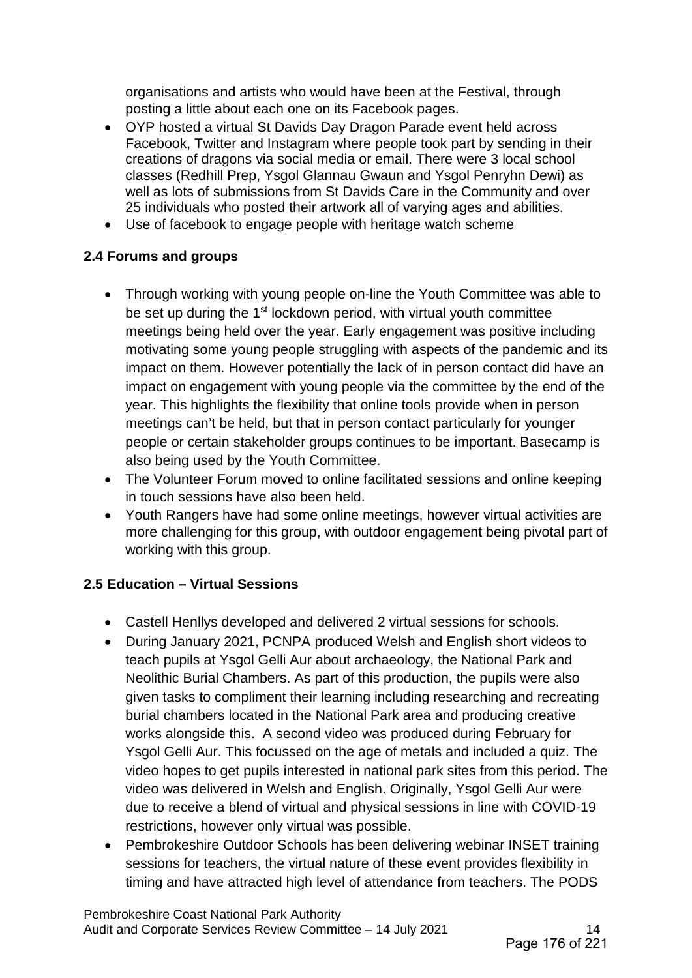organisations and artists who would have been at the Festival, through posting a little about each one on its Facebook pages.

- OYP hosted a virtual St Davids Day Dragon Parade event held across Facebook, Twitter and Instagram where people took part by sending in their creations of dragons via social media or email. There were 3 local school classes (Redhill Prep, Ysgol Glannau Gwaun and Ysgol Penryhn Dewi) as well as lots of submissions from St Davids Care in the Community and over 25 individuals who posted their artwork all of varying ages and abilities.
- Use of facebook to engage people with heritage watch scheme

## **2.4 Forums and groups**

- Through working with young people on-line the Youth Committee was able to be set up during the 1<sup>st</sup> lockdown period, with virtual youth committee meetings being held over the year. Early engagement was positive including motivating some young people struggling with aspects of the pandemic and its impact on them. However potentially the lack of in person contact did have an impact on engagement with young people via the committee by the end of the year. This highlights the flexibility that online tools provide when in person meetings can't be held, but that in person contact particularly for younger people or certain stakeholder groups continues to be important. Basecamp is also being used by the Youth Committee.
- The Volunteer Forum moved to online facilitated sessions and online keeping in touch sessions have also been held.
- Youth Rangers have had some online meetings, however virtual activities are more challenging for this group, with outdoor engagement being pivotal part of working with this group.

# **2.5 Education – Virtual Sessions**

- Castell Henllys developed and delivered 2 virtual sessions for schools.
- During January 2021, PCNPA produced Welsh and English short videos to teach pupils at Ysgol Gelli Aur about archaeology, the National Park and Neolithic Burial Chambers. As part of this production, the pupils were also given tasks to compliment their learning including researching and recreating burial chambers located in the National Park area and producing creative works alongside this. A second video was produced during February for Ysgol Gelli Aur. This focussed on the age of metals and included a quiz. The video hopes to get pupils interested in national park sites from this period. The video was delivered in Welsh and English. Originally, Ysgol Gelli Aur were due to receive a blend of virtual and physical sessions in line with COVID-19 restrictions, however only virtual was possible.
- Pembrokeshire Outdoor Schools has been delivering webinar INSET training sessions for teachers, the virtual nature of these event provides flexibility in timing and have attracted high level of attendance from teachers. The PODS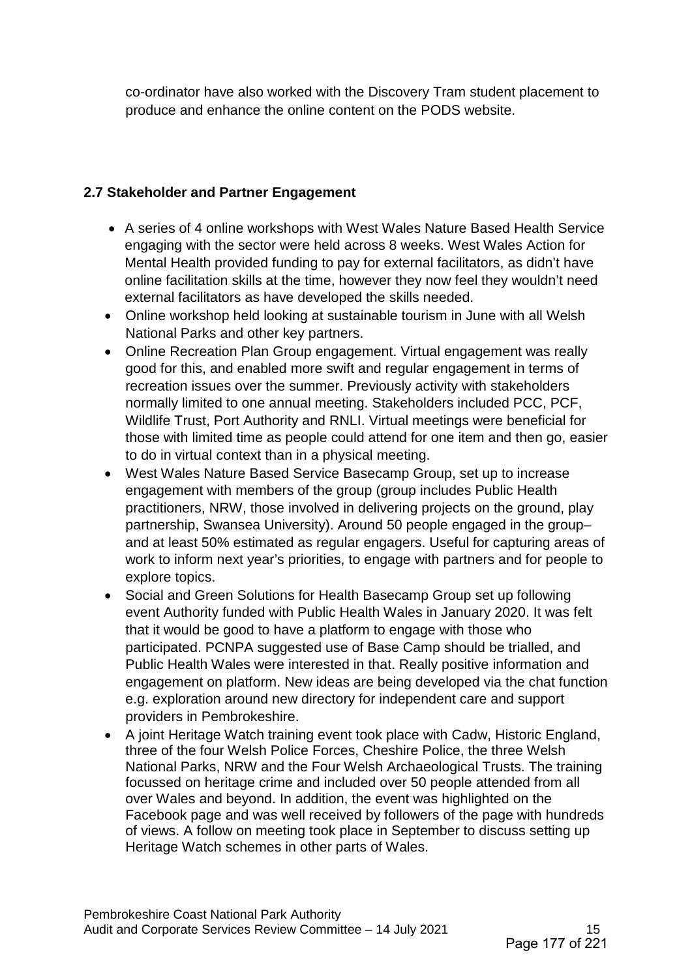co-ordinator have also worked with the Discovery Tram student placement to produce and enhance the online content on the PODS website.

### **2.7 Stakeholder and Partner Engagement**

- A series of 4 online workshops with West Wales Nature Based Health Service engaging with the sector were held across 8 weeks. West Wales Action for Mental Health provided funding to pay for external facilitators, as didn't have online facilitation skills at the time, however they now feel they wouldn't need external facilitators as have developed the skills needed.
- Online workshop held looking at sustainable tourism in June with all Welsh National Parks and other key partners.
- Online Recreation Plan Group engagement. Virtual engagement was really good for this, and enabled more swift and regular engagement in terms of recreation issues over the summer. Previously activity with stakeholders normally limited to one annual meeting. Stakeholders included PCC, PCF, Wildlife Trust, Port Authority and RNLI. Virtual meetings were beneficial for those with limited time as people could attend for one item and then go, easier to do in virtual context than in a physical meeting.
- West Wales Nature Based Service Basecamp Group, set up to increase engagement with members of the group (group includes Public Health practitioners, NRW, those involved in delivering projects on the ground, play partnership, Swansea University). Around 50 people engaged in the group– and at least 50% estimated as regular engagers. Useful for capturing areas of work to inform next year's priorities, to engage with partners and for people to explore topics.
- Social and Green Solutions for Health Basecamp Group set up following event Authority funded with Public Health Wales in January 2020. It was felt that it would be good to have a platform to engage with those who participated. PCNPA suggested use of Base Camp should be trialled, and Public Health Wales were interested in that. Really positive information and engagement on platform. New ideas are being developed via the chat function e.g. exploration around new directory for independent care and support providers in Pembrokeshire.
- A joint Heritage Watch training event took place with Cadw, Historic England, three of the four Welsh Police Forces, Cheshire Police, the three Welsh National Parks, NRW and the Four Welsh Archaeological Trusts. The training focussed on heritage crime and included over 50 people attended from all over Wales and beyond. In addition, the event was highlighted on the Facebook page and was well received by followers of the page with hundreds of views. A follow on meeting took place in September to discuss setting up Heritage Watch schemes in other parts of Wales.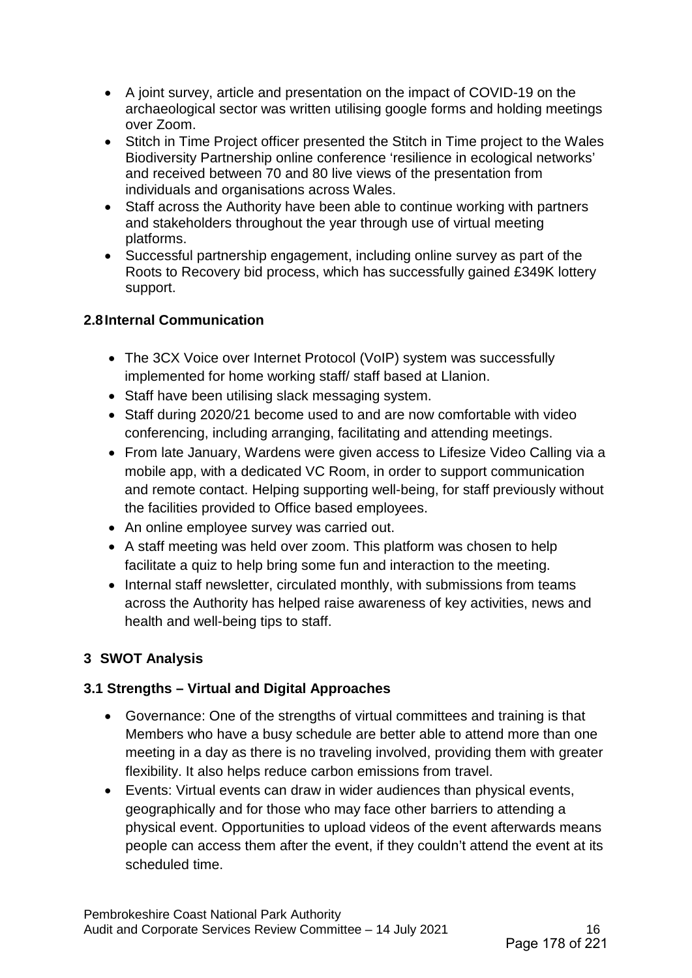- A joint survey, article and presentation on the impact of COVID-19 on the archaeological sector was written utilising google forms and holding meetings over Zoom.
- Stitch in Time Project officer presented the Stitch in Time project to the Wales Biodiversity Partnership online conference 'resilience in ecological networks' and received between 70 and 80 live views of the presentation from individuals and organisations across Wales.
- Staff across the Authority have been able to continue working with partners and stakeholders throughout the year through use of virtual meeting platforms.
- Successful partnership engagement, including online survey as part of the Roots to Recovery bid process, which has successfully gained £349K lottery support.

### **2.8Internal Communication**

- The 3CX Voice over Internet Protocol (VoIP) system was successfully implemented for home working staff/ staff based at Llanion.
- Staff have been utilising slack messaging system.
- Staff during 2020/21 become used to and are now comfortable with video conferencing, including arranging, facilitating and attending meetings.
- From late January, Wardens were given access to Lifesize Video Calling via a mobile app, with a dedicated VC Room, in order to support communication and remote contact. Helping supporting well-being, for staff previously without the facilities provided to Office based employees.
- An online employee survey was carried out.
- A staff meeting was held over zoom. This platform was chosen to help facilitate a quiz to help bring some fun and interaction to the meeting.
- Internal staff newsletter, circulated monthly, with submissions from teams across the Authority has helped raise awareness of key activities, news and health and well-being tips to staff.

# **3 SWOT Analysis**

## **3.1 Strengths – Virtual and Digital Approaches**

- Governance: One of the strengths of virtual committees and training is that Members who have a busy schedule are better able to attend more than one meeting in a day as there is no traveling involved, providing them with greater flexibility. It also helps reduce carbon emissions from travel.
- Events: Virtual events can draw in wider audiences than physical events, geographically and for those who may face other barriers to attending a physical event. Opportunities to upload videos of the event afterwards means people can access them after the event, if they couldn't attend the event at its scheduled time.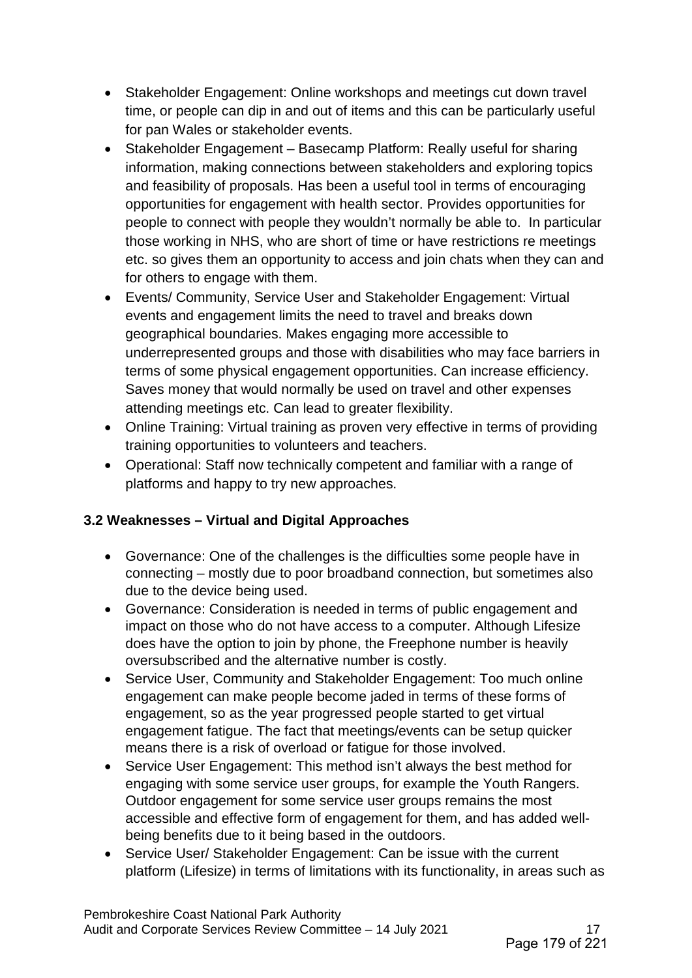- Stakeholder Engagement: Online workshops and meetings cut down travel time, or people can dip in and out of items and this can be particularly useful for pan Wales or stakeholder events.
- Stakeholder Engagement Basecamp Platform: Really useful for sharing information, making connections between stakeholders and exploring topics and feasibility of proposals. Has been a useful tool in terms of encouraging opportunities for engagement with health sector. Provides opportunities for people to connect with people they wouldn't normally be able to. In particular those working in NHS, who are short of time or have restrictions re meetings etc. so gives them an opportunity to access and join chats when they can and for others to engage with them.
- Events/ Community, Service User and Stakeholder Engagement: Virtual events and engagement limits the need to travel and breaks down geographical boundaries. Makes engaging more accessible to underrepresented groups and those with disabilities who may face barriers in terms of some physical engagement opportunities. Can increase efficiency. Saves money that would normally be used on travel and other expenses attending meetings etc. Can lead to greater flexibility.
- Online Training: Virtual training as proven very effective in terms of providing training opportunities to volunteers and teachers.
- Operational: Staff now technically competent and familiar with a range of platforms and happy to try new approaches.

## **3.2 Weaknesses – Virtual and Digital Approaches**

- Governance: One of the challenges is the difficulties some people have in connecting – mostly due to poor broadband connection, but sometimes also due to the device being used.
- Governance: Consideration is needed in terms of public engagement and impact on those who do not have access to a computer. Although Lifesize does have the option to join by phone, the Freephone number is heavily oversubscribed and the alternative number is costly.
- Service User, Community and Stakeholder Engagement: Too much online engagement can make people become jaded in terms of these forms of engagement, so as the year progressed people started to get virtual engagement fatigue. The fact that meetings/events can be setup quicker means there is a risk of overload or fatigue for those involved.
- Service User Engagement: This method isn't always the best method for engaging with some service user groups, for example the Youth Rangers. Outdoor engagement for some service user groups remains the most accessible and effective form of engagement for them, and has added wellbeing benefits due to it being based in the outdoors.
- Service User/ Stakeholder Engagement: Can be issue with the current platform (Lifesize) in terms of limitations with its functionality, in areas such as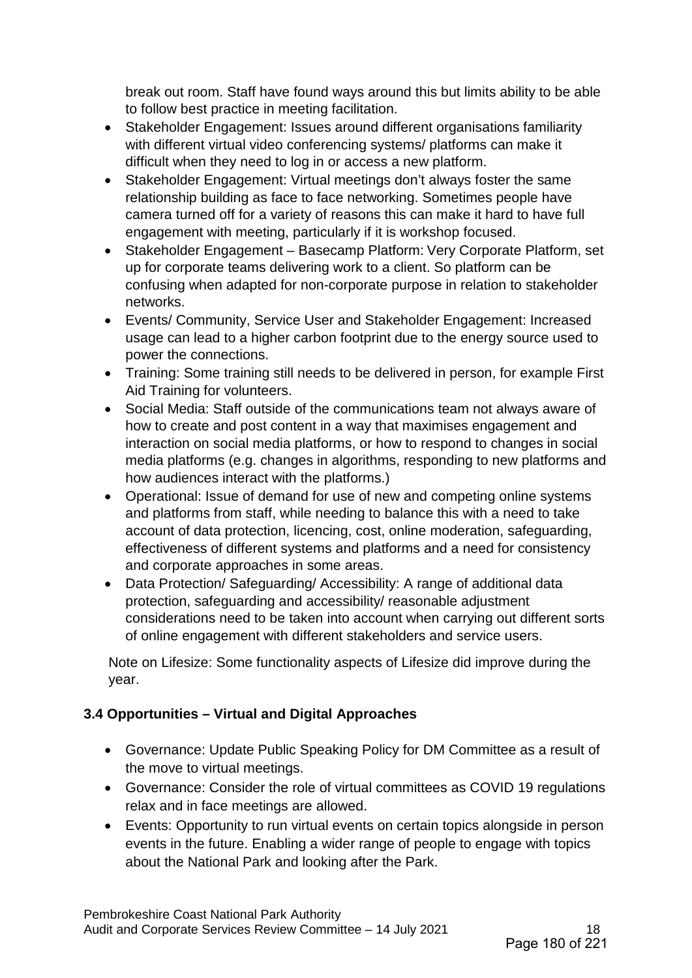break out room. Staff have found ways around this but limits ability to be able to follow best practice in meeting facilitation.

- Stakeholder Engagement: Issues around different organisations familiarity with different virtual video conferencing systems/ platforms can make it difficult when they need to log in or access a new platform.
- Stakeholder Engagement: Virtual meetings don't always foster the same relationship building as face to face networking. Sometimes people have camera turned off for a variety of reasons this can make it hard to have full engagement with meeting, particularly if it is workshop focused.
- Stakeholder Engagement Basecamp Platform: Very Corporate Platform, set up for corporate teams delivering work to a client. So platform can be confusing when adapted for non-corporate purpose in relation to stakeholder networks.
- Events/ Community, Service User and Stakeholder Engagement: Increased usage can lead to a higher carbon footprint due to the energy source used to power the connections.
- Training: Some training still needs to be delivered in person, for example First Aid Training for volunteers.
- Social Media: Staff outside of the communications team not always aware of how to create and post content in a way that maximises engagement and interaction on social media platforms, or how to respond to changes in social media platforms (e.g. changes in algorithms, responding to new platforms and how audiences interact with the platforms.)
- Operational: Issue of demand for use of new and competing online systems and platforms from staff, while needing to balance this with a need to take account of data protection, licencing, cost, online moderation, safeguarding, effectiveness of different systems and platforms and a need for consistency and corporate approaches in some areas.
- Data Protection/ Safeguarding/ Accessibility: A range of additional data protection, safeguarding and accessibility/ reasonable adjustment considerations need to be taken into account when carrying out different sorts of online engagement with different stakeholders and service users.

Note on Lifesize: Some functionality aspects of Lifesize did improve during the year.

## **3.4 Opportunities – Virtual and Digital Approaches**

- Governance: Update Public Speaking Policy for DM Committee as a result of the move to virtual meetings.
- Governance: Consider the role of virtual committees as COVID 19 regulations relax and in face meetings are allowed.
- Events: Opportunity to run virtual events on certain topics alongside in person events in the future. Enabling a wider range of people to engage with topics about the National Park and looking after the Park.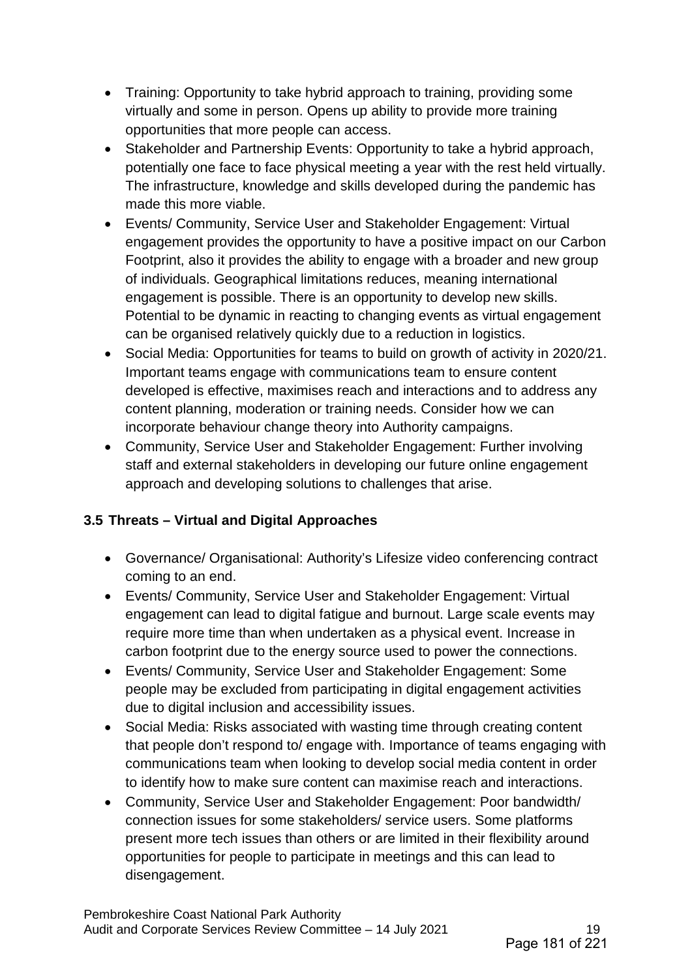- Training: Opportunity to take hybrid approach to training, providing some virtually and some in person. Opens up ability to provide more training opportunities that more people can access.
- Stakeholder and Partnership Events: Opportunity to take a hybrid approach, potentially one face to face physical meeting a year with the rest held virtually. The infrastructure, knowledge and skills developed during the pandemic has made this more viable.
- Events/ Community, Service User and Stakeholder Engagement: Virtual engagement provides the opportunity to have a positive impact on our Carbon Footprint, also it provides the ability to engage with a broader and new group of individuals. Geographical limitations reduces, meaning international engagement is possible. There is an opportunity to develop new skills. Potential to be dynamic in reacting to changing events as virtual engagement can be organised relatively quickly due to a reduction in logistics.
- Social Media: Opportunities for teams to build on growth of activity in 2020/21. Important teams engage with communications team to ensure content developed is effective, maximises reach and interactions and to address any content planning, moderation or training needs. Consider how we can incorporate behaviour change theory into Authority campaigns.
- Community, Service User and Stakeholder Engagement: Further involving staff and external stakeholders in developing our future online engagement approach and developing solutions to challenges that arise.

## **3.5 Threats – Virtual and Digital Approaches**

- Governance/ Organisational: Authority's Lifesize video conferencing contract coming to an end.
- Events/ Community, Service User and Stakeholder Engagement: Virtual engagement can lead to digital fatigue and burnout. Large scale events may require more time than when undertaken as a physical event. Increase in carbon footprint due to the energy source used to power the connections.
- Events/ Community, Service User and Stakeholder Engagement: Some people may be excluded from participating in digital engagement activities due to digital inclusion and accessibility issues.
- Social Media: Risks associated with wasting time through creating content that people don't respond to/ engage with. Importance of teams engaging with communications team when looking to develop social media content in order to identify how to make sure content can maximise reach and interactions.
- Community, Service User and Stakeholder Engagement: Poor bandwidth/ connection issues for some stakeholders/ service users. Some platforms present more tech issues than others or are limited in their flexibility around opportunities for people to participate in meetings and this can lead to disengagement.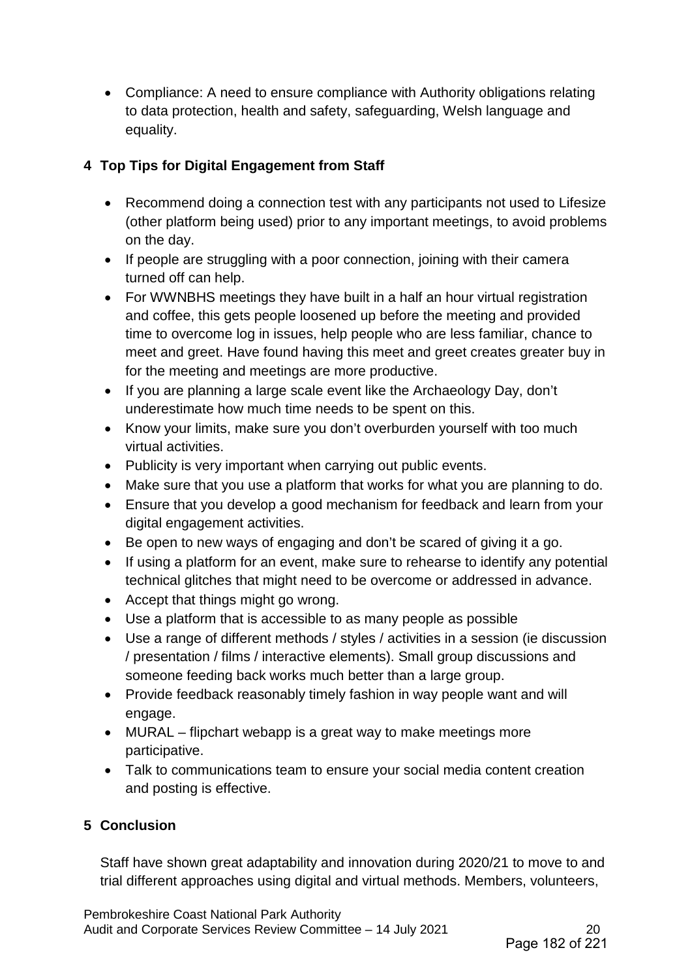• Compliance: A need to ensure compliance with Authority obligations relating to data protection, health and safety, safeguarding, Welsh language and equality.

## **4 Top Tips for Digital Engagement from Staff**

- Recommend doing a connection test with any participants not used to Lifesize (other platform being used) prior to any important meetings, to avoid problems on the day.
- If people are struggling with a poor connection, joining with their camera turned off can help.
- For WWNBHS meetings they have built in a half an hour virtual registration and coffee, this gets people loosened up before the meeting and provided time to overcome log in issues, help people who are less familiar, chance to meet and greet. Have found having this meet and greet creates greater buy in for the meeting and meetings are more productive.
- If you are planning a large scale event like the Archaeology Day, don't underestimate how much time needs to be spent on this.
- Know your limits, make sure you don't overburden yourself with too much virtual activities.
- Publicity is very important when carrying out public events.
- Make sure that you use a platform that works for what you are planning to do.
- Ensure that you develop a good mechanism for feedback and learn from your digital engagement activities.
- Be open to new ways of engaging and don't be scared of giving it a go.
- If using a platform for an event, make sure to rehearse to identify any potential technical glitches that might need to be overcome or addressed in advance.
- Accept that things might go wrong.
- Use a platform that is accessible to as many people as possible
- Use a range of different methods / styles / activities in a session (ie discussion / presentation / films / interactive elements). Small group discussions and someone feeding back works much better than a large group.
- Provide feedback reasonably timely fashion in way people want and will engage.
- MURAL flipchart webapp is a great way to make meetings more participative.
- Talk to communications team to ensure your social media content creation and posting is effective.

# **5 Conclusion**

Staff have shown great adaptability and innovation during 2020/21 to move to and trial different approaches using digital and virtual methods. Members, volunteers,